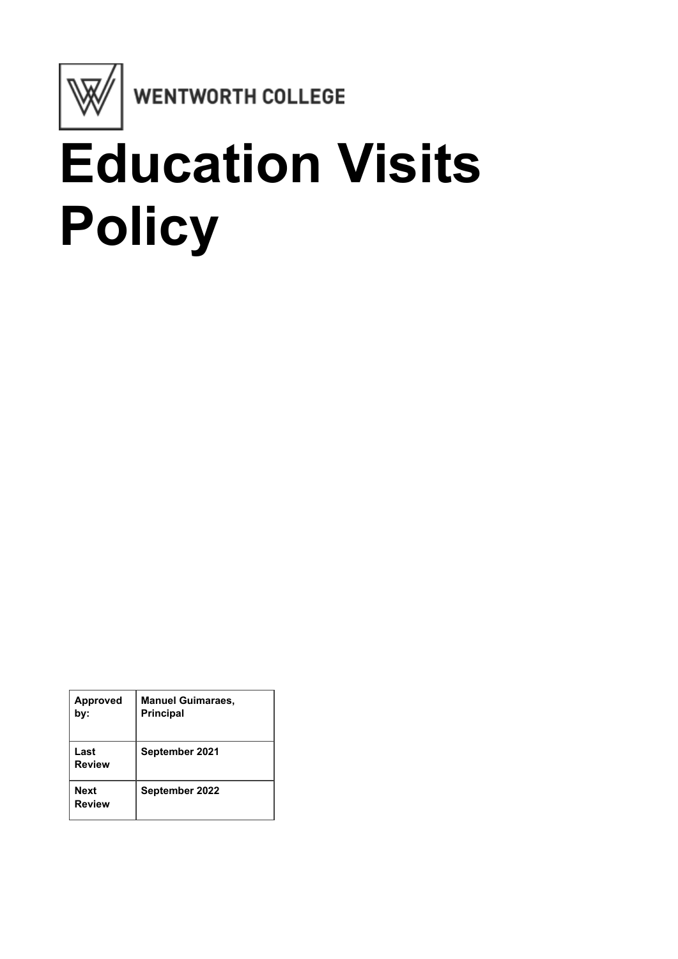

**WENTWORTH COLLEGE** 

# **Education Visits Policy**

| <b>Approved</b><br>bv: | <b>Manuel Guimaraes,</b><br><b>Principal</b> |
|------------------------|----------------------------------------------|
| Last<br>Review         | September 2021                               |
| Next<br>Review         | September 2022                               |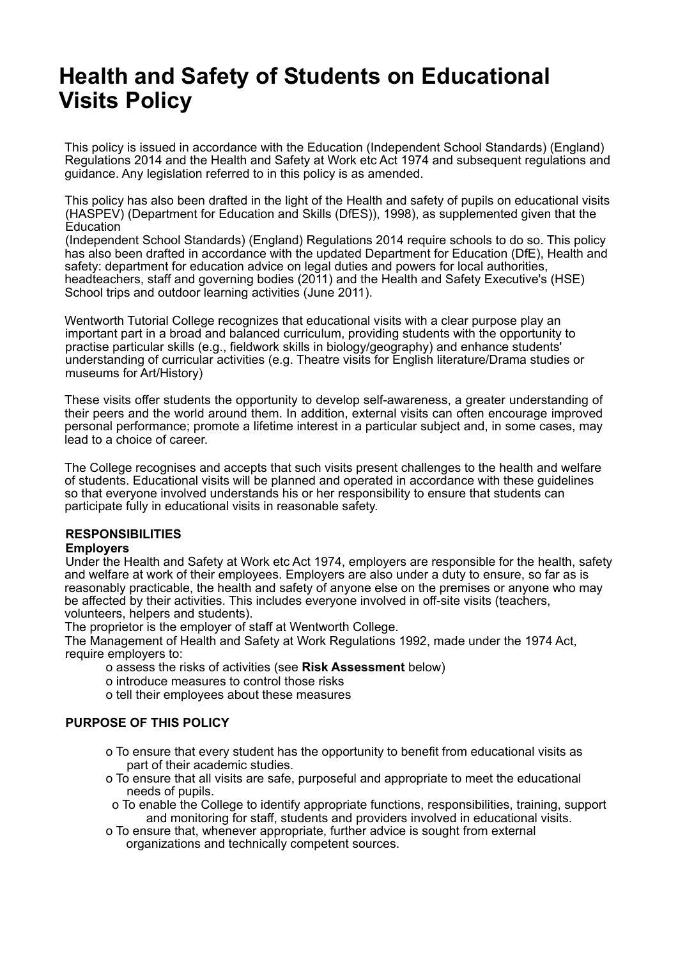## **Health and Safety of Students on Educational Visits Policy**

This policy is issued in accordance with the Education (Independent School Standards) (England) Regulations 2014 and the Health and Safety at Work etc Act 1974 and subsequent regulations and guidance. Any legislation referred to in this policy is as amended.

This policy has also been drafted in the light of the Health and safety of pupils on educational visits (HASPEV) (Department for Education and Skills (DfES)), 1998), as supplemented given that the Education

(Independent School Standards) (England) Regulations 2014 require schools to do so. This policy has also been drafted in accordance with the updated Department for Education (DfE), Health and safety: department for education advice on legal duties and powers for local authorities, headteachers, staff and governing bodies (2011) and the Health and Safety Executive's (HSE) School trips and outdoor learning activities (June 2011).

Wentworth Tutorial College recognizes that educational visits with a clear purpose play an important part in a broad and balanced curriculum, providing students with the opportunity to practise particular skills (e.g., fieldwork skills in biology/geography) and enhance students' understanding of curricular activities (e.g. Theatre visits for English literature/Drama studies or museums for Art/History)

These visits offer students the opportunity to develop self-awareness, a greater understanding of their peers and the world around them. In addition, external visits can often encourage improved personal performance; promote a lifetime interest in a particular subject and, in some cases, may lead to a choice of career.

The College recognises and accepts that such visits present challenges to the health and welfare of students. Educational visits will be planned and operated in accordance with these guidelines so that everyone involved understands his or her responsibility to ensure that students can participate fully in educational visits in reasonable safety.

### **RESPONSIBILITIES**

#### **Employers**

Under the Health and Safety at Work etc Act 1974, employers are responsible for the health, safety and welfare at work of their employees. Employers are also under a duty to ensure, so far as is reasonably practicable, the health and safety of anyone else on the premises or anyone who may be affected by their activities. This includes everyone involved in off-site visits (teachers, volunteers, helpers and students).

The proprietor is the employer of staff at Wentworth College.

The Management of Health and Safety at Work Regulations 1992, made under the 1974 Act, require employers to:

- o assess the risks of activities (see **Risk Assessment** below)
- o introduce measures to control those risks
- o tell their employees about these measures

#### **PURPOSE OF THIS POLICY**

- o To ensure that every student has the opportunity to benefit from educational visits as part of their academic studies.
- o To ensure that all visits are safe, purposeful and appropriate to meet the educational needs of pupils.
- o To enable the College to identify appropriate functions, responsibilities, training, support and monitoring for staff, students and providers involved in educational visits.
- o To ensure that, whenever appropriate, further advice is sought from external organizations and technically competent sources.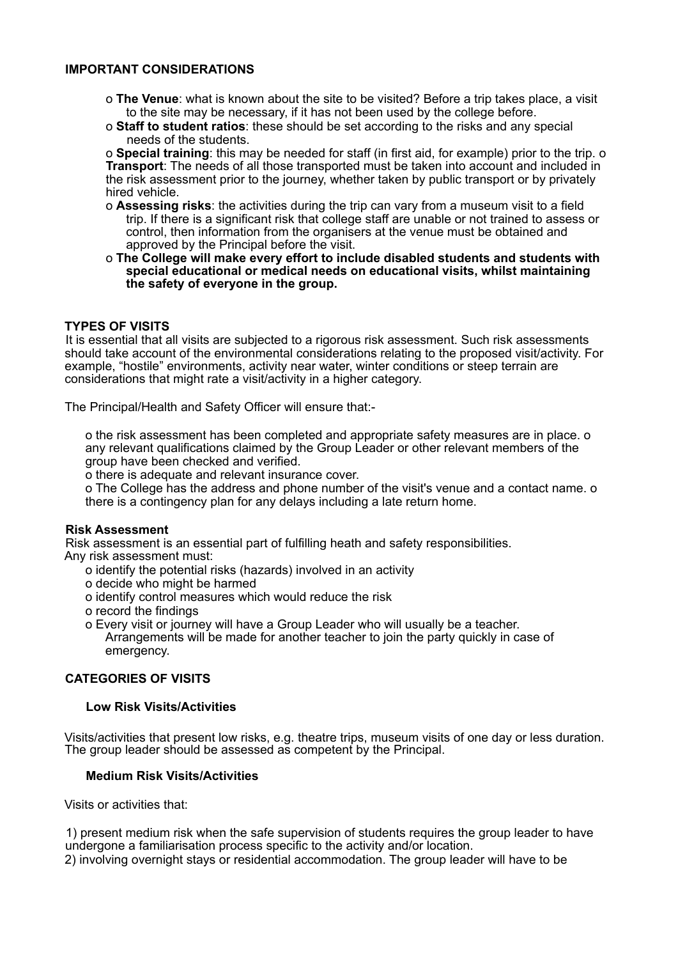#### **IMPORTANT CONSIDERATIONS**

- o **The Venue**: what is known about the site to be visited? Before a trip takes place, a visit to the site may be necessary, if it has not been used by the college before.
- o **Staff to student ratios**: these should be set according to the risks and any special needs of the students.

o **Special training**: this may be needed for staff (in first aid, for example) prior to the trip. o **Transport**: The needs of all those transported must be taken into account and included in the risk assessment prior to the journey, whether taken by public transport or by privately hired vehicle.

- o **Assessing risks**: the activities during the trip can vary from a museum visit to a field trip. If there is a significant risk that college staff are unable or not trained to assess or control, then information from the organisers at the venue must be obtained and approved by the Principal before the visit.
- o **The College will make every effort to include disabled students and students with special educational or medical needs on educational visits, whilst maintaining the safety of everyone in the group.**

#### **TYPES OF VISITS**

It is essential that all visits are subjected to a rigorous risk assessment. Such risk assessments should take account of the environmental considerations relating to the proposed visit/activity. For example, "hostile" environments, activity near water, winter conditions or steep terrain are considerations that might rate a visit/activity in a higher category.

The Principal/Health and Safety Officer will ensure that:-

o the risk assessment has been completed and appropriate safety measures are in place. o any relevant qualifications claimed by the Group Leader or other relevant members of the group have been checked and verified.

o there is adequate and relevant insurance cover.

o The College has the address and phone number of the visit's venue and a contact name. o there is a contingency plan for any delays including a late return home.

#### **Risk Assessment**

Risk assessment is an essential part of fulfilling heath and safety responsibilities.

Any risk assessment must:

- o identify the potential risks (hazards) involved in an activity
- o decide who might be harmed
- o identify control measures which would reduce the risk
- o record the findings
- o Every visit or journey will have a Group Leader who will usually be a teacher. Arrangements will be made for another teacher to join the party quickly in case of emergency.

#### **CATEGORIES OF VISITS**

#### **Low Risk Visits/Activities**

Visits/activities that present low risks, e.g. theatre trips, museum visits of one day or less duration. The group leader should be assessed as competent by the Principal.

#### **Medium Risk Visits/Activities**

Visits or activities that:

1) present medium risk when the safe supervision of students requires the group leader to have undergone a familiarisation process specific to the activity and/or location. 2) involving overnight stays or residential accommodation. The group leader will have to be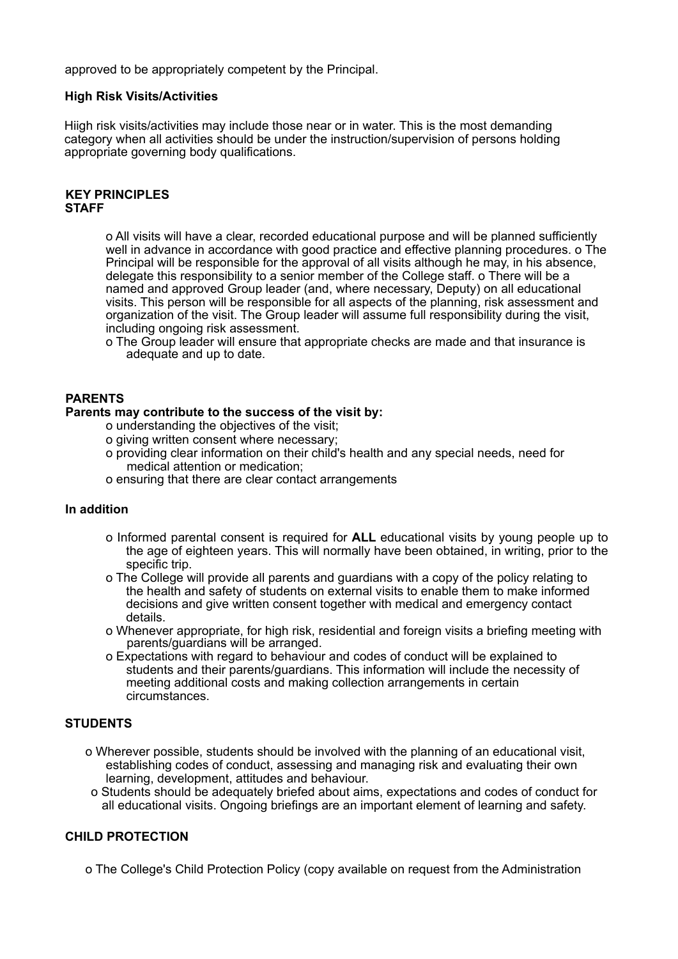approved to be appropriately competent by the Principal.

#### **High Risk Visits/Activities**

Hiigh risk visits/activities may include those near or in water. This is the most demanding category when all activities should be under the instruction/supervision of persons holding appropriate governing body qualifications.

#### **KEY PRINCIPLES STAFF**

o All visits will have a clear, recorded educational purpose and will be planned sufficiently well in advance in accordance with good practice and effective planning procedures. o The Principal will be responsible for the approval of all visits although he may, in his absence, delegate this responsibility to a senior member of the College staff. o There will be a named and approved Group leader (and, where necessary, Deputy) on all educational visits. This person will be responsible for all aspects of the planning, risk assessment and organization of the visit. The Group leader will assume full responsibility during the visit, including ongoing risk assessment.

o The Group leader will ensure that appropriate checks are made and that insurance is adequate and up to date.

#### **PARENTS**

#### **Parents may contribute to the success of the visit by:**

- o understanding the objectives of the visit;
- o giving written consent where necessary;
- o providing clear information on their child's health and any special needs, need for medical attention or medication;
- o ensuring that there are clear contact arrangements

#### **In addition**

- o Informed parental consent is required for **ALL** educational visits by young people up to the age of eighteen years. This will normally have been obtained, in writing, prior to the specific trip.
- o The College will provide all parents and guardians with a copy of the policy relating to the health and safety of students on external visits to enable them to make informed decisions and give written consent together with medical and emergency contact details.
- o Whenever appropriate, for high risk, residential and foreign visits a briefing meeting with parents/guardians will be arranged.
- o Expectations with regard to behaviour and codes of conduct will be explained to students and their parents/guardians. This information will include the necessity of meeting additional costs and making collection arrangements in certain circumstances.

#### **STUDENTS**

- o Wherever possible, students should be involved with the planning of an educational visit, establishing codes of conduct, assessing and managing risk and evaluating their own learning, development, attitudes and behaviour.
- o Students should be adequately briefed about aims, expectations and codes of conduct for all educational visits. Ongoing briefings are an important element of learning and safety.

#### **CHILD PROTECTION**

o The College's Child Protection Policy (copy available on request from the Administration